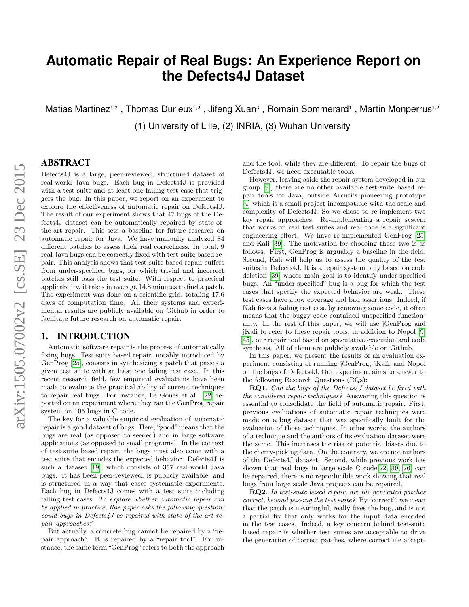# **Automatic Repair of Real Bugs: An Experience Report on the Defects4J Dataset**

Matias Martinez<sup>1,2</sup>, Thomas Durieux<sup>1,2</sup>, Jifeng Xuan<sup>3</sup>, Romain Sommerard<sup>1</sup>, Martin Monperrus<sup>1,2</sup> (1) University of Lille, (2) INRIA, (3) Wuhan University

# ABSTRACT

Defects4J is a large, peer-reviewed, structured dataset of real-world Java bugs. Each bug in Defects4J is provided with a test suite and at least one failing test case that triggers the bug. In this paper, we report on an experiment to explore the effectiveness of automatic repair on Defects4J. The result of our experiment shows that 47 bugs of the Defects4J dataset can be automatically repaired by state-ofthe-art repair. This sets a baseline for future research on automatic repair for Java. We have manually analyzed 84 different patches to assess their real correctness. In total, 9 real Java bugs can be correctly fixed with test-suite based repair. This analysis shows that test-suite based repair suffers from under-specified bugs, for which trivial and incorrect patches still pass the test suite. With respect to practical applicability, it takes in average 14.8 minutes to find a patch. The experiment was done on a scientific grid, totaling 17.6 days of computation time. All their systems and experimental results are publicly available on Github in order to facilitate future research on automatic repair.

# 1. INTRODUCTION

Automatic software repair is the process of automatically fixing bugs. Test-suite based repair, notably introduced by GenProg [\[25\]](#page-10-0), consists in synthesizing a patch that passes a given test suite with at least one failing test case. In this recent research field, few empirical evaluations have been made to evaluate the practical ability of current techniques to repair real bugs. For instance, Le Goues et al. [\[22\]](#page-10-1) reported on an experiment where they ran the GenProg repair system on 105 bugs in C code.

The key for a valuable empirical evaluation of automatic repair is a good dataset of bugs. Here, "good"means that the bugs are real (as opposed to seeded) and in large software applications (as opposed to small programs). In the context of test-suite based repair, the bugs must also come with a test suite that encodes the expected behavior. Defects4J is such a dataset [\[19\]](#page-10-2), which consists of 357 real-world Java bugs. It has been peer-reviewed, is publicly available, and is structured in a way that eases systematic experiments. Each bug in Defects4J comes with a test suite including failing test cases. To explore whether automatic repair can be applied in practice, this paper asks the following question: could bugs in Defects4J be repaired with state-of-the-art repair approaches?

But actually, a concrete bug cannot be repaired by a "repair approach". It is repaired by a "repair tool". For instance, the same term "GenProg" refers to both the approach and the tool, while they are different. To repair the bugs of Defects4J, we need executable tools.

However, leaving aside the repair system developed in our group [\[9\]](#page-10-3), there are no other available test-suite based repair tools for Java, outside Arcuri's pioneering prototype [\[4\]](#page-10-4) which is a small project incompatible with the scale and complexity of Defects4J. So we chose to re-implement two key repair approaches. Re-implementing a repair system that works on real test suites and real code is a significant engineering effort. We have re-implemented GenProg [\[25\]](#page-10-0) and Kali [\[39\]](#page-11-0). The motivation for choosing those two is as follows. First, GenProg is arguably a baseline in the field. Second, Kali will help us to assess the quality of the test suites in Defects4J. It is a repair system only based on code deletion [\[39\]](#page-11-0) whose main goal is to identify under-specified bugs. An "under-specified" bug is a bug for which the test cases that specify the expected behavior are weak. These test cases have a low coverage and bad assertions. Indeed, if Kali fixes a failing test case by removing some code, it often means that the buggy code contained unspecified functionality. In the rest of this paper, we will use jGenProg and jKali to refer to these repair tools, in addition to Nopol [\[9,](#page-10-3) [45\]](#page-11-1), our repair tool based on speculative execution and code synthesis. All of them are publicly available on Github.

In this paper, we present the results of an evaluation experiment consisting of running jGenProg, jKali, and Nopol on the bugs of Defects4J. Our experiment aims to answer to the following Research Questions (RQs):

RQ1. Can the bugs of the Defects4J dataset be fixed with the considered repair techniques? Answering this question is essential to consolidate the field of automatic repair. First, previous evaluations of automatic repair techniques were made on a bug dataset that was specifically built for the evaluation of those techniques. In other words, the authors of a technique and the authors of its evaluation dataset were the same. This increases the risk of potential biases due to the cherry-picking data. On the contrary, we are not authors of the Defects4J dataset. Second, while previous work has shown that real bugs in large scale C code[\[22,](#page-10-1) [39,](#page-11-0) [26\]](#page-10-5) can be repaired, there is no reproducible work showing that real bugs from large scale Java projects can be repaired.

RQ2. In test-suite based repair, are the generated patches correct, beyond passing the test suite? By "correct", we mean that the patch is meaningful, really fixes the bug, and is not a partial fix that only works for the input data encoded in the test cases. Indeed, a key concern behind test-suite based repair is whether test suites are acceptable to drive the generation of correct patches, where correct me accept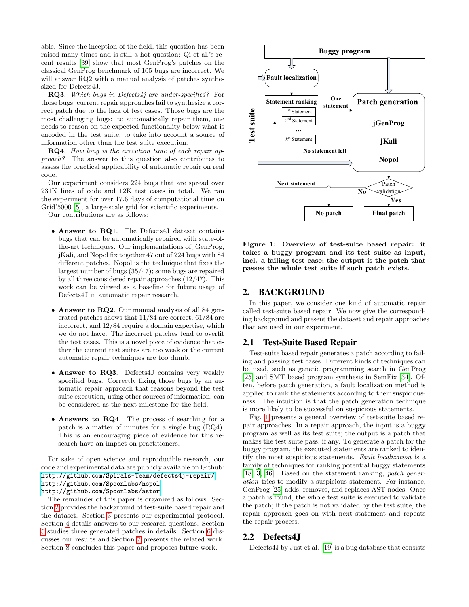able. Since the inception of the field, this question has been raised many times and is still a hot question: Qi et al.'s recent results [\[39\]](#page-11-0) show that most GenProg's patches on the classical GenProg benchmark of 105 bugs are incorrect. We will answer RQ2 with a manual analysis of patches synthesized for Defects4J.

RQ3. Which bugs in Defects4j are under-specified? For those bugs, current repair approaches fail to synthesize a correct patch due to the lack of test cases. Those bugs are the most challenging bugs: to automatically repair them, one needs to reason on the expected functionality below what is encoded in the test suite, to take into account a source of information other than the test suite execution.

RQ4. How long is the execution time of each repair approach? The answer to this question also contributes to assess the practical applicability of automatic repair on real code.

Our experiment considers 224 bugs that are spread over 231K lines of code and 12K test cases in total. We ran the experiment for over 17.6 days of computational time on Grid'5000 [\[5\]](#page-10-6), a large-scale grid for scientific experiments.

Our contributions are as follows:

- Answer to RQ1. The Defects4J dataset contains bugs that can be automatically repaired with state-ofthe-art techniques. Our implementations of jGenProg, jKali, and Nopol fix together 47 out of 224 bugs with 84 different patches. Nopol is the technique that fixes the largest number of bugs (35/47); some bugs are repaired by all three considered repair approaches (12/47). This work can be viewed as a baseline for future usage of Defects4J in automatic repair research.
- Answer to RQ2. Our manual analysis of all 84 generated patches shows that 11/84 are correct, 61/84 are incorrect, and 12/84 require a domain expertise, which we do not have. The incorrect patches tend to overfit the test cases. This is a novel piece of evidence that either the current test suites are too weak or the current automatic repair techniques are too dumb.
- Answer to RQ3. Defects4J contains very weakly specified bugs. Correctly fixing those bugs by an automatic repair approach that reasons beyond the test suite execution, using other sources of information, can be considered as the next milestone for the field.
- Answers to RQ4. The process of searching for a patch is a matter of minutes for a single bug (RQ4). This is an encouraging piece of evidence for this research have an impact on practitioners.

For sake of open science and reproducible research, our code and experimental data are publicly available on Github: <http://github.com/Spirals-Team/defects4j-repair/>, <http://github.com/SpoonLabs/nopol>, <http://github.com/SpoonLabs/astor>

The remainder of this paper is organized as follows. Section [2](#page-1-0) provides the background of test-suite based repair and the dataset. Section [3](#page-2-0) presents our experimental protocol. Section [4](#page-3-0) details answers to our research questions. Section [5](#page-6-0) studies three generated patches in details. Section [6](#page-8-0) discusses our results and Section [7](#page-9-0) presents the related work. Section [8](#page-9-1) concludes this paper and proposes future work.



<span id="page-1-1"></span>Figure 1: Overview of test-suite based repair: it takes a buggy program and its test suite as input, incl. a failing test case; the output is the patch that passes the whole test suite if such patch exists.

# <span id="page-1-0"></span>2. BACKGROUND

In this paper, we consider one kind of automatic repair called test-suite based repair. We now give the corresponding background and present the dataset and repair approaches that are used in our experiment.

#### 2.1 Test-Suite Based Repair

Test-suite based repair generates a patch according to failing and passing test cases. Different kinds of techniques can be used, such as genetic programming search in GenProg [\[25\]](#page-10-0) and SMT based program synthesis in SemFix [\[34\]](#page-11-2). Often, before patch generation, a fault localization method is applied to rank the statements according to their suspiciousness. The intuition is that the patch generation technique is more likely to be successful on suspicious statements.

Fig. [1](#page-1-1) presents a general overview of test-suite based repair approaches. In a repair approach, the input is a buggy program as well as its test suite; the output is a patch that makes the test suite pass, if any. To generate a patch for the buggy program, the executed statements are ranked to identify the most suspicious statements. Fault localization is a family of techniques for ranking potential buggy statements [\[18,](#page-10-7) [3,](#page-10-8) [46\]](#page-11-3). Based on the statement ranking, patch generation tries to modify a suspicious statement. For instance, GenProg [\[25\]](#page-10-0) adds, removes, and replaces AST nodes. Once a patch is found, the whole test suite is executed to validate the patch; if the patch is not validated by the test suite, the repair approach goes on with next statement and repeats the repair process.

# <span id="page-1-2"></span>2.2 Defects4J

Defects4J by Just et al. [\[19\]](#page-10-2) is a bug database that consists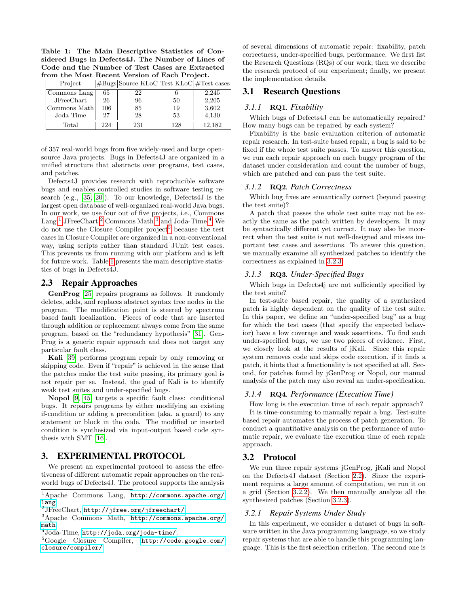<span id="page-2-6"></span>Table 1: The Main Descriptive Statistics of Considered Bugs in Defects4J. The Number of Lines of Code and the Number of Test Cases are Extracted from the Most Recent Version of Each Project.

| Project      |     | $\#Bugs Source KLoC Test KLoC  \#Test cases$ |     |        |
|--------------|-----|----------------------------------------------|-----|--------|
| Commons Lang | 65  | 22                                           |     | 2,245  |
| JFreeChart   | 26  | 96                                           | 50  | 2,205  |
| Commons Math | 106 | 85                                           | 19  | 3,602  |
| Joda-Time    | 27  | 28                                           | 53  | 4,130  |
| Total        | 224 | 231                                          | 128 | 12.182 |

of 357 real-world bugs from five widely-used and large opensource Java projects. Bugs in Defects4J are organized in a unified structure that abstracts over programs, test cases, and patches.

Defects4J provides research with reproducible software bugs and enables controlled studies in software testing research (e.g., [\[35,](#page-11-4) [20\]](#page-10-9)). To our knowledge, Defects4J is the largest open database of well-organized real-world Java bugs. In our work, we use four out of five projects, i.e., Commons Lang,<sup>[1](#page-2-1)</sup> JFreeChart,<sup>[2](#page-2-2)</sup> Commons Math,<sup>[3](#page-2-3)</sup> and Joda-Time.<sup>[4](#page-2-4)</sup> We do not use the Closure Compiler project<sup>[5](#page-2-5)</sup> because the test cases in Closure Compiler are organized in a non-conventional way, using scripts rather than standard JUnit test cases. This prevents us from running with our platform and is left for future work. Table [1](#page-2-6) presents the main descriptive statistics of bugs in Defects4J.

#### 2.3 Repair Approaches

GenProg [\[25\]](#page-10-0) repairs programs as follows. It randomly deletes, adds, and replaces abstract syntax tree nodes in the program. The modification point is steered by spectrum based fault localization. Pieces of code that are inserted through addition or replacement always come from the same program, based on the "redundancy hypothesis" [\[31\]](#page-11-5). Gen-Prog is a generic repair approach and does not target any particular fault class.

Kali [\[39\]](#page-11-0) performs program repair by only removing or skipping code. Even if "repair" is achieved in the sense that the patches make the test suite passing, its primary goal is not repair per se. Instead, the goal of Kali is to identify weak test suites and under-specified bugs.

Nopol [\[9,](#page-10-3) [45\]](#page-11-1) targets a specific fault class: conditional bugs. It repairs programs by either modifying an existing if-condition or adding a precondition (aka. a guard) to any statement or block in the code. The modified or inserted condition is synthesized via input-output based code synthesis with SMT [\[16\]](#page-10-10).

# <span id="page-2-0"></span>3. EXPERIMENTAL PROTOCOL

We present an experimental protocol to assess the effectiveness of different automatic repair approaches on the realworld bugs of Defects4J. The protocol supports the analysis of several dimensions of automatic repair: fixability, patch correctness, under-specified bugs, performance. We first list the Research Questions (RQs) of our work; then we describe the research protocol of our experiment; finally, we present the implementation details.

# 3.1 Research Questions

#### *3.1.1* RQ1*. Fixability*

Which bugs of Defects4J can be automatically repaired? How many bugs can be repaired by each system?

Fixability is the basic evaluation criterion of automatic repair research. In test-suite based repair, a bug is said to be fixed if the whole test suite passes. To answer this question, we run each repair approach on each buggy program of the dataset under consideration and count the number of bugs, which are patched and can pass the test suite.

#### *3.1.2* RQ2*. Patch Correctness*

Which bug fixes are semantically correct (beyond passing the test suite)?

A patch that passes the whole test suite may not be exactly the same as the patch written by developers. It may be syntactically different yet correct. It may also be incorrect when the test suite is not well-designed and misses important test cases and assertions. To answer this question, we manually examine all synthesized patches to identify the correctness as explained in [3.2.3.](#page-3-1)

#### *3.1.3* RQ3*. Under-Specified Bugs*

Which bugs in Defects4j are not sufficiently specified by the test suite?

In test-suite based repair, the quality of a synthesized patch is highly dependent on the quality of the test suite. In this paper, we define an "under-specified bug" as a bug for which the test cases (that specify the expected behavior) have a low coverage and weak assertions. To find such under-specified bugs, we use two pieces of evidence. First, we closely look at the results of jKali. Since this repair system removes code and skips code execution, if it finds a patch, it hints that a functionality is not specified at all. Second, for patches found by jGenProg or Nopol, our manual analysis of the patch may also reveal an under-specification.

#### *3.1.4* RQ4*. Performance (Execution Time)*

How long is the execution time of each repair approach?

It is time-consuming to manually repair a bug. Test-suite based repair automates the process of patch generation. To conduct a quantitative analysis on the performance of automatic repair, we evaluate the execution time of each repair approach.

# 3.2 Protocol

We run three repair systems jGenProg, jKali and Nopol on the Defects4J dataset (Section [2.2\)](#page-1-2). Since the experiment requires a large amount of computation, we run it on a grid (Section [3.2.2\)](#page-3-2). We then manually analyze all the synthesized patches (Section [3.2.3\)](#page-3-1).

#### *3.2.1 Repair Systems Under Study*

In this experiment, we consider a dataset of bugs in software written in the Java programming language, so we study repair systems that are able to handle this programming language. This is the first selection criterion. The second one is

<span id="page-2-1"></span><sup>1</sup>Apache Commons Lang, [http://commons.apache.org/](http://commons.apache.org/lang) [lang](http://commons.apache.org/lang).

<span id="page-2-2"></span> $^{2}$ J $\rm{FreeChar}$ , <http://jfree.org/jfreechart/>.

<span id="page-2-3"></span><sup>3</sup>Apache Commons Math, [http://commons.apache.org/](http://commons.apache.org/math) [math](http://commons.apache.org/math).

<span id="page-2-4"></span> $^4$ Joda-Time, <http://joda.org/joda-time/>.

<span id="page-2-5"></span><sup>5</sup>Google Closure Compiler, [http://code.google.com/](http://code.google.com/closure/compiler/) [closure/compiler/](http://code.google.com/closure/compiler/).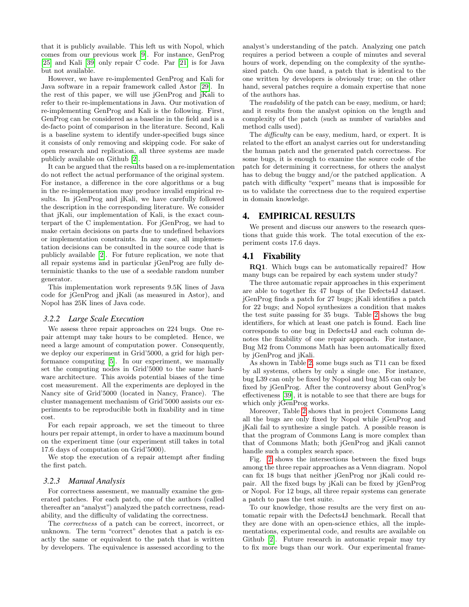that it is publicly available. This left us with Nopol, which comes from our previous work [\[9\]](#page-10-3). For instance, GenProg [\[25\]](#page-10-0) and Kali [\[39\]](#page-11-0) only repair C code. Par [\[21\]](#page-10-11) is for Java but not available.

However, we have re-implemented GenProg and Kali for Java software in a repair framework called Astor [\[29\]](#page-11-6). In the rest of this paper, we will use jGenProg and jKali to refer to their re-implementations in Java. Our motivation of re-implementing GenProg and Kali is the following. First, GenProg can be considered as a baseline in the field and is a de-facto point of comparison in the literature. Second, Kali is a baseline system to identify under-specified bugs since it consists of only removing and skipping code. For sake of open research and replication, all three systems are made publicly available on Github [\[2\]](#page-10-12).

It can be argued that the results based on a re-implementation do not reflect the actual performance of the original system. For instance, a difference in the core algorithms or a bug in the re-implementation may produce invalid empirical results. In jGenProg and jKali, we have carefully followed the description in the corresponding literature. We consider that jKali, our implementation of Kali, is the exact counterpart of the C implementation. For jGenProg, we had to make certain decisions on parts due to undefined behaviors or implementation constraints. In any case, all implementation decisions can be consulted in the source code that is publicly available [\[2\]](#page-10-12). For future replication, we note that all repair systems and in particular jGenProg are fully deterministic thanks to the use of a seedable random number generator.

This implementation work represents 9.5K lines of Java code for jGenProg and jKali (as measured in Astor), and Nopol has 25K lines of Java code.

#### <span id="page-3-2"></span>*3.2.2 Large Scale Execution*

We assess three repair approaches on 224 bugs. One repair attempt may take hours to be completed. Hence, we need a large amount of computation power. Consequently, we deploy our experiment in Grid'5000, a grid for high performance computing [\[5\]](#page-10-6). In our experiment, we manually set the computing nodes in Grid'5000 to the same hardware architecture. This avoids potential biases of the time cost measurement. All the experiments are deployed in the Nancy site of Grid'5000 (located in Nancy, France). The cluster management mechanism of Grid'5000 assists our experiments to be reproducible both in fixability and in time cost.

For each repair approach, we set the timeout to three hours per repair attempt, in order to have a maximum bound on the experiment time (our experiment still takes in total 17.6 days of computation on Grid'5000).

We stop the execution of a repair attempt after finding the first patch.

#### <span id="page-3-1"></span>*3.2.3 Manual Analysis*

For correctness assesment, we manually examine the generated patches. For each patch, one of the authors (called thereafter an"analyst") analyzed the patch correctness, readability, and the difficulty of validating the correctness.

The correctness of a patch can be correct, incorrect, or unknown. The term "correct" denotes that a patch is exactly the same or equivalent to the patch that is written by developers. The equivalence is assessed according to the analyst's understanding of the patch. Analyzing one patch requires a period between a couple of minutes and several hours of work, depending on the complexity of the synthesized patch. On one hand, a patch that is identical to the one written by developers is obviously true; on the other hand, several patches require a domain expertise that none of the authors has.

The *readability* of the patch can be easy, medium, or hard; and it results from the analyst opinion on the length and complexity of the patch (such as number of variables and method calls used).

The difficulty can be easy, medium, hard, or expert. It is related to the effort an analyst carries out for understanding the human patch and the generated patch correctness. For some bugs, it is enough to examine the source code of the patch for determining it correctness, for others the analyst has to debug the buggy and/or the patched application. A patch with difficulty "expert" means that is impossible for us to validate the correctness due to the required expertise in domain knowledge.

#### <span id="page-3-0"></span>4. EMPIRICAL RESULTS

We present and discuss our answers to the research questions that guide this work. The total execution of the experiment costs 17.6 days.

#### <span id="page-3-3"></span>4.1 Fixability

RQ1. Which bugs can be automatically repaired? How many bugs can be repaired by each system under study?

The three automatic repair approaches in this experiment are able to together fix 47 bugs of the Defects4J dataset. jGenProg finds a patch for 27 bugs; jKali identifies a patch for 22 bugs; and Nopol synthesizes a condition that makes the test suite passing for 35 bugs. Table [2](#page-4-0) shows the bug identifiers, for which at least one patch is found. Each line corresponds to one bug in Defects4J and each column denotes the fixability of one repair approach. For instance, Bug M2 from Commons Math has been automatically fixed by jGenProg and jKali.

As shown in Table [2,](#page-4-0) some bugs such as T11 can be fixed by all systems, others by only a single one. For instance, bug L39 can only be fixed by Nopol and bug M5 can only be fixed by jGenProg. After the controversy about GenProg's effectiveness [\[39\]](#page-11-0), it is notable to see that there are bugs for which only jGenProg works.

Moreover, Table [2](#page-4-0) shows that in project Commons Lang all the bugs are only fixed by Nopol while jGenProg and jKali fail to synthesize a single patch. A possible reason is that the program of Commons Lang is more complex than that of Commons Math; both jGenProg and jKali cannot handle such a complex search space.

Fig. [2](#page-4-1) shows the intersections between the fixed bugs among the three repair approaches as a Venn diagram. Nopol can fix 18 bugs that neither jGenProg nor jKali could repair. All the fixed bugs by jKali can be fixed by jGenProg or Nopol. For 12 bugs, all three repair systems can generate a patch to pass the test suite.

To our knowledge, those results are the very first on automatic repair with the Defects4J benchmark. Recall that they are done with an open-science ethics, all the implementations, experimental code, and results are available on Github [\[2\]](#page-10-12). Future research in automatic repair may try to fix more bugs than our work. Our experimental frame-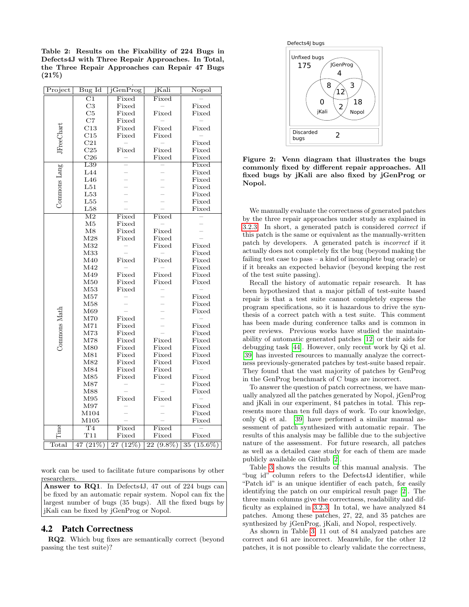<span id="page-4-0"></span>Table 2: Results on the Fixability of 224 Bugs in Defects4J with Three Repair Approaches. In Total, the Three Repair Approaches can Repair 47 Bugs (21%)

.

| Project           | Bug Id                   | jGenProg                 | jKali           | Nopol          |
|-------------------|--------------------------|--------------------------|-----------------|----------------|
|                   | $\overline{\mathrm{C1}}$ | Fixed                    | Fixed           |                |
|                   | C3                       | Fixed                    |                 | Fixed          |
|                   | C5                       | Fixed                    | Fixed           | Fixed          |
|                   | $_{\rm C7}$              | Fixed                    |                 |                |
|                   | $^{\rm C13}$             | Fixed                    | Fixed           | Fixed          |
|                   | C15                      | Fixed                    | Fixed           |                |
|                   | C21                      |                          |                 | Fixed          |
| <b>JFreeChart</b> | C <sub>25</sub>          | Fixed                    | Fixed           | Fixed          |
|                   | C26                      |                          | Fixed           | Fixed          |
|                   | L39                      |                          |                 | Fixed          |
| Commons Lang      | L44                      |                          |                 | Fixed          |
|                   | L46                      |                          |                 | Fixed          |
|                   | L51                      |                          |                 | Fixed          |
|                   | L53                      |                          |                 | Fixed          |
|                   | $L_{55}$                 |                          |                 | Fixed          |
|                   | L58                      |                          |                 | Fixed          |
|                   | $\overline{\mathrm{M2}}$ | Fixed                    | Fixed           |                |
|                   | M5                       | Fixed                    |                 |                |
|                   | M8                       | Fixed                    | Fixed           |                |
|                   | M28                      | Fixed                    | Fixed           |                |
|                   | M32                      |                          | Fixed           | Fixed          |
|                   | M33                      |                          |                 | Fixed          |
|                   | M40                      | Fixed                    | Fixed           | Fixed          |
|                   | M42                      |                          |                 | Fixed          |
|                   | M49                      | Fixed                    | Fixed           | Fixed          |
|                   | M50                      | Fixed                    | Fixed           | Fixed          |
|                   | M53                      | Fixed                    |                 |                |
|                   | M57                      |                          |                 | Fixed          |
|                   | M58                      |                          |                 | Fixed          |
|                   | M69                      |                          |                 | Fixed          |
|                   | M70                      | Fixed                    |                 |                |
| Commons Math      | M71                      | Fixed                    |                 | Fixed          |
|                   | M73                      | Fixed                    |                 | Fixed          |
|                   | M78                      | Fixed                    | Fixed           | Fixed          |
|                   | M80                      | Fixed                    | Fixed           | Fixed          |
|                   | M81                      | Fixed                    | Fixed           | Fixed          |
|                   | M82                      | Fixed                    | Fixed           | Fixed          |
|                   | M84                      | Fixed                    | Fixed           |                |
|                   | M85                      | Fixed                    | Fixed           | Fixed          |
|                   | M87                      |                          |                 | Fixed          |
|                   | M88                      |                          |                 | Fixed          |
|                   | M95                      | Fixed                    | Fixed           |                |
|                   | M97                      |                          |                 | Fixed          |
|                   | M104                     |                          |                 | Fixed          |
|                   | M105                     |                          |                 | Fixed          |
|                   | $\mathrm{T}4$            | Fixed                    | Fixed           |                |
| lme               | T11                      | Fixed                    | Fixed           | Fixed          |
| Total             | (21%)<br>47              | (12%)<br>$\overline{27}$ | 22<br>$(9.8\%)$ | $15.6\%$<br>35 |
|                   |                          |                          |                 |                |

work can be used to facilitate future comparisons by other researchers.

Answer to RQ1. In Defects4J, 47 out of 224 bugs can be fixed by an automatic repair system. Nopol can fix the largest number of bugs (35 bugs). All the fixed bugs by jKali can be fixed by jGenProg or Nopol.

#### <span id="page-4-2"></span>4.2 Patch Correctness

RQ2. Which bug fixes are semantically correct (beyond passing the test suite)?





<span id="page-4-1"></span>Figure 2: Venn diagram that illustrates the bugs commonly fixed by different repair approaches. All fixed bugs by jKali are also fixed by jGenProg or Nopol.

We manually evaluate the correctness of generated patches by the three repair approaches under study as explained in [3.2.3.](#page-3-1) In short, a generated patch is considered correct if this patch is the same or equivalent as the manually-written patch by developers. A generated patch is incorrect if it actually does not completely fix the bug (beyond making the failing test case to pass – a kind of incomplete bug oracle) or if it breaks an expected behavior (beyond keeping the rest of the test suite passing).

Recall the history of automatic repair research. It has been hypothesized that a major pitfall of test-suite based repair is that a test suite cannot completely express the program specifications, so it is hazardous to drive the synthesis of a correct patch with a test suite. This comment has been made during conference talks and is common in peer reviews. Previous works have studied the maintainability of automatic generated patches [\[12\]](#page-10-13) or their aids for debugging task [\[44\]](#page-11-7). However, only recent work by Qi et al. [\[39\]](#page-11-0) has invested resources to manually analyze the correctness previously-generated patches by test-suite based repair. They found that the vast majority of patches by GenProg in the GenProg benchmark of C bugs are incorrect.

To answer the question of patch correctness, we have manually analyzed all the patches generated by Nopol, jGenProg and jKali in our experiment, 84 patches in total. This represents more than ten full days of work. To our knowledge, only Qi et al. [\[39\]](#page-11-0) have performed a similar manual assessment of patch synthesized with automatic repair. The results of this analysis may be fallible due to the subjective nature of the assessment. For future research, all patches as well as a detailed case study for each of them are made publicly available on Github [\[2\]](#page-10-12).

Table [3](#page-5-0) shows the results of this manual analysis. The "bug id" column refers to the Defects4J identifier, while "Patch id" is an unique identifier of each patch, for easily identifying the patch on our empirical result page [\[2\]](#page-10-12). The three main columns give the correctness, readability and difficulty as explained in [3.2.3.](#page-3-1) In total, we have analyzed 84 patches. Among these patches, 27, 22, and 35 patches are synthesized by jGenProg, jKali, and Nopol, respectively.

As shown in Table [3,](#page-5-0) 11 out of 84 analyzed patches are correct and 61 are incorrect. Meanwhile, for the other 12 patches, it is not possible to clearly validate the correctness,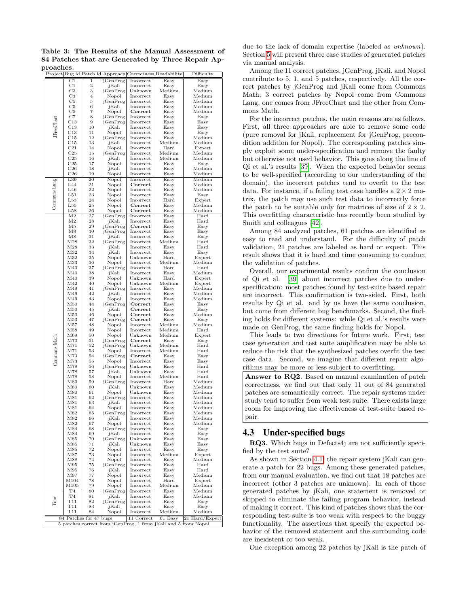<span id="page-5-0"></span>Table 3: The Results of the Manual Assessment of 84 Patches that are Generated by Three Repair Approaches.

|                   |                                                                                                                                       |                     |                   | Project Bug id Patch id Approach Correctness Readability |                         | Difficulty       |
|-------------------|---------------------------------------------------------------------------------------------------------------------------------------|---------------------|-------------------|----------------------------------------------------------|-------------------------|------------------|
|                   | $_{\rm C1}$                                                                                                                           | ī                   | <b>jGenProg</b>   | Incorrect                                                | Easy                    | Easy             |
|                   | $_{\rm C1}$                                                                                                                           | $\boldsymbol{2}$    | jKali             | Incorrect                                                | Easy                    | Easy             |
|                   | C3                                                                                                                                    | 3                   | jGenProg          | Unknown                                                  | Medium                  | Medium           |
|                   | C3<br>C5                                                                                                                              | $\overline{4}$<br>5 | Nopol             | Incorrect                                                | Easy                    | Medium<br>Medium |
|                   | $_{\rm C5}$                                                                                                                           | 6                   | jGenProg<br>jKali | Incorrect<br>Incorrect                                   | Easy<br>Easy            | Medium           |
|                   | $_{\rm C5}$                                                                                                                           | 7                   | Nopol             | Correct                                                  | Easy                    | Medium           |
|                   | C7                                                                                                                                    | 8                   | jGenProg          | Incorrect                                                | Easy                    | Easy             |
| <b>JFreeChart</b> | C13                                                                                                                                   | 9                   | jGenProg          | Incorrect                                                | Easy                    | Easy             |
|                   | C13                                                                                                                                   | 10                  | jKali             | Incorrect                                                | Easy                    | Easy             |
|                   | C13                                                                                                                                   | 11                  | Nopol             | Incorrect                                                | Easy                    | Easy             |
|                   | C15                                                                                                                                   | 12                  | jGenProg          | Incorrect                                                | Easy                    | Medium           |
|                   | C15<br>C21                                                                                                                            | 13<br>14            | jKali<br>Nopol    | Incorrect<br>Incorrect                                   | Medium<br>$_{\rm Hard}$ | Medium           |
|                   | C <sub>25</sub>                                                                                                                       | 15                  | jGenProg          | Incorrect                                                | Medium                  | Expert<br>Medium |
|                   | C <sub>25</sub>                                                                                                                       | 16                  | jKali             | Incorrect                                                | Medium                  | Medium           |
|                   | C <sub>25</sub>                                                                                                                       | 17                  | Nopol             | Incorrect                                                | Easy                    | Easy             |
|                   | C <sub>26</sub>                                                                                                                       | 18                  | jKali             | Incorrect                                                | $_{\rm Easy}$           | Medium           |
|                   | C <sub>26</sub>                                                                                                                       | 19                  | Nopol             | Incorrect                                                | Easy                    | Medium           |
|                   | L39                                                                                                                                   | 20                  | Nopol             | Incorrect                                                | Easy                    | Medium           |
| Commons Lang      | L44                                                                                                                                   | 21                  | Nopol             | Correct                                                  | Easy                    | Medium           |
|                   | L46                                                                                                                                   | 22                  | Nopol             | Incorrect                                                | Easy                    | Medium           |
|                   | L51<br>L53                                                                                                                            | 23<br>24            | Nopol<br>Nopol    | Incorrect<br>Incorrect                                   | Easy<br>$\rm Hard$      | Easy<br>Expert   |
|                   | L55                                                                                                                                   | 25                  | Nopol             | $\bf Correct$                                            | Easy                    | Medium           |
|                   | L58                                                                                                                                   | 26                  | Nopol             | Correct                                                  | Easy                    | Medium           |
|                   | M <sub>2</sub>                                                                                                                        | 27                  | jGenProg          | Incorrect                                                | Easy                    | $_{\rm Hard}$    |
|                   | M2                                                                                                                                    | 28                  | jKali             | Incorrect                                                | Easy                    | Hard             |
|                   | M <sub>5</sub>                                                                                                                        | 29                  | jGenProg          | Correct                                                  | Easy                    | Easy             |
|                   | M8                                                                                                                                    | 30                  | jGenProg          | Incorrect                                                | Easy                    | Easy             |
|                   | M8                                                                                                                                    | 31                  | jKali             | Incorrect                                                | Easy                    | Easy             |
|                   | M28                                                                                                                                   | 32                  | jGenProg          | Incorrect                                                | Medium                  | Hard             |
|                   | M28                                                                                                                                   | 33                  | jKali             | Incorrect                                                | Easy                    | Hard             |
|                   | M32                                                                                                                                   | 34                  | jKali             | Incorrect                                                | Easy                    | Easy             |
|                   | M32                                                                                                                                   | 35                  | Nopol             | Unknown                                                  | $_{\rm Hard}$           | Expert           |
|                   | M33                                                                                                                                   | 36                  | Nopol             | Incorrect                                                | Medium                  | Medium           |
|                   | M40                                                                                                                                   | 37                  | iGenProg          | Incorrect                                                | $_{\rm Hard}$           | Hard             |
|                   | M40<br>M40                                                                                                                            | 38<br>39            | jKali             | Incorrect<br>Unknown                                     | Easy<br>$_{\rm Hard}$   | Medium           |
|                   | M42                                                                                                                                   | 40                  | Nopol<br>Nopol    | Unknown                                                  | Medium                  | Expert<br>Expert |
|                   | M49                                                                                                                                   | 41                  | jGenProg          | Incorrect                                                | Easy                    | Medium           |
|                   | M49                                                                                                                                   | 42                  | jKali             | Incorrect                                                | Easy                    | Medium           |
|                   | M49                                                                                                                                   | 43                  | Nopol             | Incorrect                                                | Easy                    | Medium           |
|                   | M50                                                                                                                                   | 44                  | jGenProg          | $\mathop{\mathrm{Correct}}$                              | Easy                    | Easy             |
|                   | M50                                                                                                                                   | 45                  | jKali             | Correct                                                  | Easy                    | Easy             |
|                   | M50                                                                                                                                   | 46                  | Nopol             | $\mathop{\mathrm{Correct}}$                              | Easy                    | Medium           |
|                   | M53                                                                                                                                   | 47                  | jGenProg          | Correct                                                  | Easy                    | Easy             |
|                   | Μ57                                                                                                                                   | 48                  | Nopol             | Incorrect                                                | Medium                  | Medium           |
|                   | M58                                                                                                                                   | 49                  | Nopol             | Incorrect                                                | Medium                  | Hard             |
|                   | M69                                                                                                                                   | 50                  | Nopol             | Unknown                                                  | Medium                  | Expert           |
|                   | M70                                                                                                                                   | 51                  | jGenProg          | Correct                                                  | Easy                    | Easy             |
|                   | M71                                                                                                                                   | 52                  | jGenProg          | Unknown                                                  | Medium                  | Hard             |
| Commons Math      | M71                                                                                                                                   | 53                  | Nopol             | Incorrect                                                | Medium                  | Hard             |
|                   | M73<br>M73                                                                                                                            | 54<br>55            | jGenProg<br>Nopol | Correct<br>Incorrect                                     | Easy<br>Easy            | Easy<br>Easy     |
|                   | M78                                                                                                                                   | 56                  | iGenProg          | Unknown                                                  | Easy                    | Hard             |
|                   | M78                                                                                                                                   | 57                  | jKali             | Unknown                                                  | Easy                    | Hard             |
|                   | M78                                                                                                                                   | 58                  | Nopol             | Incorrect                                                | Medium                  | Hard             |
|                   | M80                                                                                                                                   | 59                  | jGenProg          | Incorrect                                                | $\rm Hard$              | Medium           |
|                   | M80                                                                                                                                   | 60                  | jKali             | Unknown                                                  | Easy                    | Medium           |
|                   | M80                                                                                                                                   | 61                  | Nopol             | Unknown                                                  | Easy                    | Medium           |
|                   | M81                                                                                                                                   | 62                  | jGenProg          | Incorrect                                                | Easy                    | Medium           |
|                   | M81                                                                                                                                   | 63                  | jKali             | Incorrect                                                | Easy                    | Medium           |
|                   | M81                                                                                                                                   | 64                  | Nopol             | Incorrect                                                | Easy                    | Medium           |
|                   | M82                                                                                                                                   | 65                  | jGenProg          | Incorrect                                                | Easy                    | Medium           |
|                   | M82                                                                                                                                   | 66                  | jKali             | Incorrect                                                | Easy                    | Medium           |
|                   | M82<br>M84                                                                                                                            | 67<br>68            | Nopol<br>jGenProg | Incorrect<br>Incorrect                                   | Easy<br>Easy            | Medium<br>Easy   |
|                   | M84                                                                                                                                   | 69                  | jKali             | Incorrect                                                | Easy                    | Easy             |
|                   | M85                                                                                                                                   | 70                  | jGenProg          | Unknown                                                  | Easy                    | Easy             |
|                   | M85                                                                                                                                   | 71                  | jKali             | Unknown                                                  | Easy                    | Easy             |
|                   | M85                                                                                                                                   | 72                  | Nopol             | Incorrect                                                | Easy                    | Easy             |
|                   | M87                                                                                                                                   | 73                  | Nopol             | Incorrect                                                | Medium                  | Expert           |
|                   | M88                                                                                                                                   | 74                  | Nopol             | Incorrect                                                | Easy                    | Medium           |
|                   | M95                                                                                                                                   | 75                  | jGenProg          | Incorrect                                                | Easy                    | Hard             |
|                   | M95                                                                                                                                   | 76                  | jKali             | Incorrect                                                | Easy                    | Hard             |
|                   | M97                                                                                                                                   | 77                  | Nopol             | Incorrect                                                | Easy                    | Medium           |
|                   | M104                                                                                                                                  | 78                  | Nopol             | Incorrect                                                | $_{\rm Hard}$           | Expert           |
|                   | M105                                                                                                                                  | 79                  | Nopol             | Incorrect                                                | Medium                  | Medium           |
|                   | T4                                                                                                                                    | 80                  | <b>jGenProg</b>   | Incorrect                                                | Easy                    | Medium           |
| Time              | T4<br>T11                                                                                                                             | 81                  | jKali             | Incorrect                                                | Easy                    | Medium           |
|                   | T11                                                                                                                                   | 82<br>83            | jGenProg<br>jKali | Incorrect<br>Incorrect                                   | Easy<br>Easy            | Easy<br>Easy     |
|                   | T11                                                                                                                                   | 84                  | Nopol             | Incorrect                                                | Medium                  | Medium           |
|                   |                                                                                                                                       |                     |                   |                                                          |                         |                  |
|                   | 84 Patches for 47 bugs<br>11 Correct<br>$61$ Easy<br>21 Hard/Expert<br>5 patches correct from jGenProg, 1 from jKali and 5 from Nopol |                     |                   |                                                          |                         |                  |
|                   |                                                                                                                                       |                     |                   |                                                          |                         |                  |

due to the lack of domain expertise (labeled as unknown). Section [5](#page-6-0) will present three case studies of generated patches via manual analysis.

Among the 11 correct patches, jGenProg, jKali, and Nopol contribute to 5, 1, and 5 patches, respectively. All the correct patches by jGenProg and jKali come from Commons Math; 3 correct patches by Nopol come from Commons Lang, one comes from JFreeChart and the other from Commons Math.

For the incorrect patches, the main reasons are as follows. First, all three approaches are able to remove some code (pure removal for jKali, replacement for jGenProg, precondition addition for Nopol). The corresponding patches simply exploit some under-specification and remove the faulty but otherwise not used behavior. This goes along the line of Qi et al.'s results [\[39\]](#page-11-0). When the expected behavior seems to be well-specified (according to our understanding of the domain), the incorrect patches tend to overfit to the test data. For instance, if a failing test case handles a  $2 \times 2$  matrix, the patch may use such test data to incorrectly force the patch to be suitable only for matrices of size of  $2 \times 2$ . This overfitting characteristic has recently been studied by Smith and colleagues [\[42\]](#page-11-8).

Among 84 analyzed patches, 61 patches are identified as easy to read and understand. For the difficulty of patch validation, 21 patches are labeled as hard or expert. This result shows that it is hard and time consuming to conduct the validation of patches.

Overall, our experimental results confirm the conclusion of Qi et al. [\[39\]](#page-11-0) about incorrect patches due to underspecification: most patches found by test-suite based repair are incorrect. This confirmation is two-sided. First, both results by Qi et al. and by us have the same conclusion, but come from different bug benchmarks. Second, the finding holds for different systems: while Qi et al.'s results were made on GenProg, the same finding holds for Nopol.

This leads to two directions for future work. First, test case generation and test suite amplification may be able to reduce the risk that the synthesized patches overfit the test case data. Second, we imagine that different repair algorithms may be more or less subject to overfitting.

Answer to RQ2. Based on manual examination of patch correctness, we find out that only 11 out of 84 generated patches are semantically correct. The repair systems under study tend to suffer from weak test suite. There exists large room for improving the effectiveness of test-suite based repair.

#### 4.3 Under-specified bugs

RQ3. Which bugs in Defects4j are not sufficiently specified by the test suite?

As shown in Section [4.1,](#page-3-3) the repair system jKali can generate a patch for 22 bugs. Among these generated patches, from our manual evaluation, we find out that 18 patches are incorrect (other 3 patches are unknown). In each of those generated patches by jKali, one statement is removed or skipped to eliminate the failing program behavior, instead of making it correct. This kind of patches shows that the corresponding test suite is too weak with respect to the buggy functionality. The assertions that specify the expected behavior of the removed statement and the surrounding code are inexistent or too weak.

One exception among 22 patches by jKali is the patch of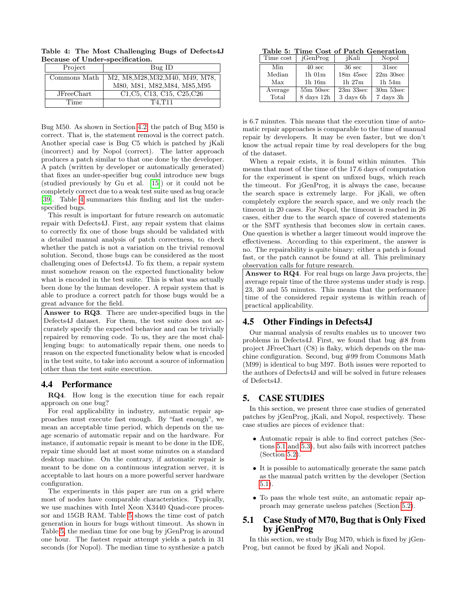<span id="page-6-1"></span>Table 4: The Most Challenging Bugs of Defects4J Because of Under-specification.

| Project      | $Bug$ ID                                                                               |
|--------------|----------------------------------------------------------------------------------------|
| Commons Math | M2, M8, M28, M32, M40, M49, M78,                                                       |
|              | M80, M81, M82, M84, M85, M95                                                           |
| JFreeChart   | C <sub>1</sub> , C <sub>1</sub> 3, C <sub>15</sub> , C <sub>25</sub> , C <sub>26</sub> |
| Time         | T4.T11                                                                                 |

Bug M50. As shown in Section [4.2,](#page-4-2) the patch of Bug M50 is correct. That is, the statement removal is the correct patch. Another special case is Bug C5 which is patched by jKali (incorrect) and by Nopol (correct). The latter approach produces a patch similar to that one done by the developer. A patch (written by developer or automatically generated) that fixes an under-specifier bug could introduce new bugs (studied previously by Gu et al. [\[15\]](#page-10-14)) or it could not be completely correct due to a weak test suite used as bug oracle [\[39\]](#page-11-0). Table [4](#page-6-1) summarizes this finding and list the underspecified bugs.

This result is important for future research on automatic repair with Defects4J. First, any repair system that claims to correctly fix one of those bugs should be validated with a detailed manual analysis of patch correctness, to check whether the patch is not a variation on the trivial removal solution. Second, those bugs can be considered as the most challenging ones of Defects4J. To fix them, a repair system must somehow reason on the expected functionality below what is encoded in the test suite. This is what was actually been done by the human developer. A repair system that is able to produce a correct patch for those bugs would be a great advance for the field.

Answer to RQ3. There are under-specified bugs in the Defects4J dataset. For them, the test suite does not accurately specify the expected behavior and can be trivially repaired by removing code. To us, they are the most challenging bugs: to automatically repair them, one needs to reason on the expected functionality below what is encoded in the test suite, to take into account a source of information other than the test suite execution.

#### 4.4 Performance

RQ4. How long is the execution time for each repair approach on one bug?

For real applicability in industry, automatic repair approaches must execute fast enough. By "fast enough", we mean an acceptable time period, which depends on the usage scenario of automatic repair and on the hardware. For instance, if automatic repair is meant to be done in the IDE, repair time should last at most some minutes on a standard desktop machine. On the contrary, if automatic repair is meant to be done on a continuous integration server, it is acceptable to last hours on a more powerful server hardware configuration.

The experiments in this paper are run on a grid where most of nodes have comparable characteristics. Typically, we use machines with Intel Xeon X3440 Quad-core processor and 15GB RAM. Table [5](#page-6-2) shows the time cost of patch generation in hours for bugs without timeout. As shown in Table [5,](#page-6-2) the median time for one bug by jGenProg is around one hour. The fastest repair attempt yields a patch in 31 seconds (for Nopol). The median time to synthesize a patch

<span id="page-6-2"></span>Table 5: Time Cost of Patch Generation

| Time cost | jGenProg         | jKali            | Nopol             |
|-----------|------------------|------------------|-------------------|
| Min       | $40 \text{ sec}$ | $36 \text{ sec}$ | 31 <sub>sec</sub> |
| Median    | $1h$ $01m$       | $18m$ 45sec      | $22m$ 30sec       |
| Max       | $1h$ $16m$       | $1h\ 27m$        | $1h\,54m$         |
| Average   | $55m 50$ sec     | $23m$ 33sec      | $30m$ 53sec       |
| Total     | 8 days 12h       | 3 days 6h        | 7 days 3h         |

is 6.7 minutes. This means that the execution time of automatic repair approaches is comparable to the time of manual repair by developers. It may be even faster, but we don't know the actual repair time by real developers for the bug of the dataset.

When a repair exists, it is found within minutes. This means that most of the time of the 17.6 days of computation for the experiment is spent on unfixed bugs, which reach the timeout. For jGenProg, it is always the case, because the search space is extremely large. For jKali, we often completely explore the search space, and we only reach the timeout in 20 cases. For Nopol, the timeout is reached in 26 cases, either due to the search space of covered statements or the SMT synthesis that becomes slow in certain cases. One question is whether a larger timeout would improve the effectiveness. According to this experiment, the answer is no. The repairability is quite binary: either a patch is found fast, or the patch cannot be found at all. This preliminary observation calls for future research.

Answer to RQ4. For real bugs on large Java projects, the average repair time of the three systems under study is resp. 23, 30 and 55 minutes. This means that the performance time of the considered repair systems is within reach of practical applicability.

# 4.5 Other Findings in Defects4J

Our manual analysis of results enables us to uncover two problems in Defects4J. First, we found that bug  $#8$  from project JFreeChart (C8) is flaky, which depends on the machine configuration. Second, bug #99 from Commons Math (M99) is identical to bug M97. Both issues were reported to the authors of Defects4J and will be solved in future releases of Defects4J.

# <span id="page-6-0"></span>5. CASE STUDIES

In this section, we present three case studies of generated patches by jGenProg, jKali, and Nopol, respectively. These case studies are pieces of evidence that:

- Automatic repair is able to find correct patches (Sections [5.1](#page-6-3) and [5.3\)](#page-7-0), but also fails with incorrect patches (Section [5.2\)](#page-7-1).
- It is possible to automatically generate the same patch as the manual patch written by the developer (Section [5.1\)](#page-6-3).
- To pass the whole test suite, an automatic repair approach may generate useless patches (Section [5.2\)](#page-7-1).

# <span id="page-6-3"></span>5.1 Case Study of M70, Bug that is Only Fixed by jGenProg

In this section, we study Bug M70, which is fixed by jGen-Prog, but cannot be fixed by jKali and Nopol.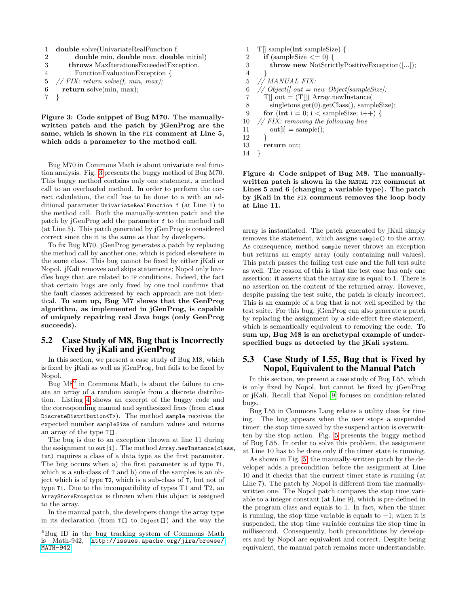```
1 double solve(UnivariateRealFunction f,
2 double min, double max, double initial)
3 throws MaxIterationsExceededException,
4 FunctionEvaluationException {
5 // FIX: return solve(f, min, max):6 return solve(min, max);
7 }
```
<span id="page-7-2"></span>Figure 3: Code snippet of Bug M70. The manuallywritten patch and the patch by jGenProg are the same, which is shown in the FIX comment at Line 5, which adds a parameter to the method call.

Bug M70 in Commons Math is about univariate real function analysis. Fig. [3](#page-7-2) presents the buggy method of Bug M70. This buggy method contains only one statement, a method call to an overloaded method. In order to perform the correct calculation, the call has to be done to a with an additional parameter UnivariateRealFunction f (at Line 1) to the method call. Both the manually-written patch and the patch by jGenProg add the parameter f to the method call (at Line 5). This patch generated by jGenProg is considered correct since the it is the same as that by developers.

To fix Bug M70, jGenProg generates a patch by replacing the method call by another one, which is picked elsewhere in the same class. This bug cannot be fixed by either jKali or Nopol. jKali removes and skips statements; Nopol only handles bugs that are related to IF conditions. Indeed, the fact that certain bugs are only fixed by one tool confirms that the fault classes addressed by each approach are not identical. To sum up, Bug M7 shows that the GenProg algorithm, as implemented in jGenProg, is capable of uniquely repairing real Java bugs (only GenProg succeeds).

# <span id="page-7-1"></span>5.2 Case Study of M8, Bug that is Incorrectly Fixed by jKali and jGenProg

In this section, we present a case study of Bug M8, which is fixed by jKali as well as jGenProg, but fails to be fixed by Nopol.

Bug  $M8<sup>6</sup>$  $M8<sup>6</sup>$  $M8<sup>6</sup>$  in Commons Math, is about the failure to create an array of a random sample from a discrete distribution. Listing [4](#page-7-4) shows an excerpt of the buggy code and the corresponding manual and synthesized fixes (from class DiscreteDistribution<T>). The method sample receives the expected number sampleSize of random values and returns an array of the type T[].

The bug is due to an exception thrown at line 11 during the assignment to out [i]. The method Array.newInstance(class, int) requires a class of a data type as the first parameter. The bug occurs when a) the first parameter is of type T1, which is a sub-class of T and b) one of the samples is an object which is of type T2, which is a sub-class of T, but not of type T1. Due to the incompatibility of types T1 and T2, an ArrayStoreException is thrown when this object is assigned to the array.

In the manual patch, the developers change the array type in its declaration (from T[] to Object[]) and the way the

|    | $T[]$ sample(int sampleSize) {                      |
|----|-----------------------------------------------------|
| 2  | <b>if</b> (sampleSize $\leq$ = 0) {                 |
| 3  | <b>throw new NotStrictlyPositiveException([])</b> ; |
| 4  |                                                     |
| 5  | // MANUAL FIX:                                      |
| 6  | $// Object[] out = new Object sampleSize;$          |
| 7  | $T[] out = (T[]) Array.newInstance($                |
| 8  | $singletons.get(0).getClass(), sampleSize);$        |
| 9  | for (int i = 0; i < sampleSize; i++) {              |
| 10 | // FIX: removing the following line                 |
| 11 | $\text{out}[i] = \text{sample}($                    |
| 12 |                                                     |
| 13 | return out;                                         |
| 14 |                                                     |

<span id="page-7-4"></span>Figure 4: Code snippet of Bug M8. The manuallywritten patch is shown in the MANUAL FIX comment at Lines 5 and 6 (changing a variable type). The patch by jKali in the FIX comment removes the loop body at Line 11.

array is instantiated. The patch generated by jKali simply removes the statement, which assigns sample() to the array. As consequence, method sample never throws an exception but returns an empty array (only containing null values). This patch passes the failing test case and the full test suite as well. The reason of this is that the test case has only one assertion: it asserts that the array size is equal to 1. There is no assertion on the content of the returned array. However, despite passing the test suite, the patch is clearly incorrect. This is an example of a bug that is not well specified by the test suite. For this bug, jGenProg can also generate a patch by replacing the assignment by a side-effect free statement, which is semantically equivalent to removing the code. To sum up, Bug M8 is an archetypal example of underspecified bugs as detected by the jKali system.

## <span id="page-7-0"></span>5.3 Case Study of L55, Bug that is Fixed by Nopol, Equivalent to the Manual Patch

In this section, we present a case study of Bug L55, which is only fixed by Nopol, but cannot be fixed by jGenProg or jKali. Recall that Nopol [\[9\]](#page-10-3) focuses on condition-related bugs.

Bug L55 in Commons Lang relates a utility class for timing. The bug appears when the user stops a suspended timer: the stop time saved by the suspend action is overwritten by the stop action. Fig. [5](#page-8-1) presents the buggy method of Bug L55. In order to solve this problem, the assignment at Line 10 has to be done only if the timer state is running.

As shown in Fig. [5,](#page-8-1) the manually-written patch by the developer adds a precondition before the assignment at Line 10 and it checks that the current timer state is running (at Line 7). The patch by Nopol is different from the manuallywritten one. The Nopol patch compares the stop time variable to a integer constant (at Line 9), which is pre-defined in the program class and equals to 1. In fact, when the timer is running, the stop time variable is equals to  $-1$ ; when it is suspended, the stop time variable contains the stop time in millisecond. Consequently, both preconditions by developers and by Nopol are equivalent and correct. Despite being equivalent, the manual patch remains more understandable.

<span id="page-7-3"></span> ${}^{6}$ Bug ID in the bug tracking system of Commons Math is Math-942, [http://issues.apache.org/jira/browse/](http://issues.apache.org/jira/browse/MATH-942) [MATH-942](http://issues.apache.org/jira/browse/MATH-942).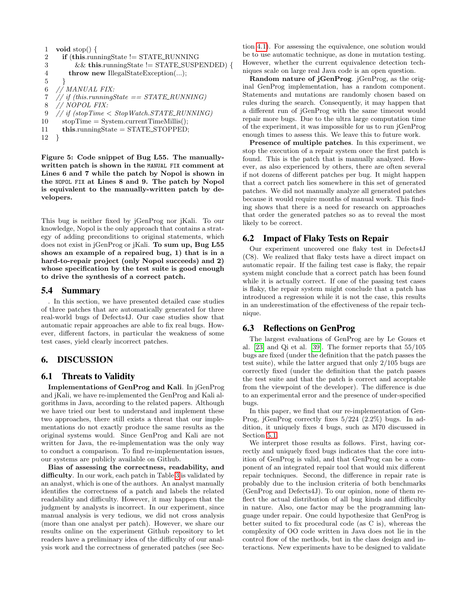1 void stop $() \{$ 2 if (this.runningState != STATE\_RUNNING  $3 \&\&\{\text{this.runningState}\}$  = STATE\_SUSPENDED) { 4 **throw new IllegalStateException(...);**  $5$ 6 // MANUAL FIX: 7 // if (this.runningState  $=$   $STATE\_RUNNING$ ) 8 // NOPOL FIX: 9 // if  $(stopTime < StopWatch.STATE_RUNNING)$  $10$  stopTime = System.currentTimeMillis(); 11 this.runningState = STATE\_STOPPED;

```
12 }
```
<span id="page-8-1"></span>Figure 5: Code snippet of Bug L55. The manuallywritten patch is shown in the MANUAL FIX comment at Lines 6 and 7 while the patch by Nopol is shown in the NOPOL FIX at Lines 8 and 9. The patch by Nopol is equivalent to the manually-written patch by developers.

This bug is neither fixed by jGenProg nor jKali. To our knowledge, Nopol is the only approach that contains a strategy of adding preconditions to original statements, which does not exist in jGenProg or jKali. To sum up, Bug L55 shows an example of a repaired bug, 1) that is in a hard-to-repair project (only Nopol succeeds) and 2) whose specification by the test suite is good enough to drive the synthesis of a correct patch.

# 5.4 Summary

. In this section, we have presented detailed case studies of three patches that are automatically generated for three real-world bugs of Defects4J. Our case studies show that automatic repair approaches are able to fix real bugs. However, different factors, in particular the weakness of some test cases, yield clearly incorrect patches.

# <span id="page-8-0"></span>6. DISCUSSION

# 6.1 Threats to Validity

Implementations of GenProg and Kali. In jGenProg and jKali, we have re-implemented the GenProg and Kali algorithms in Java, according to the related papers. Although we have tried our best to understand and implement these two approaches, there still exists a threat that our implementations do not exactly produce the same results as the original systems would. Since GenProg and Kali are not written for Java, the re-implementation was the only way to conduct a comparison. To find re-implementation issues, our systems are publicly available on Github.

Bias of assessing the correctness, readability, and difficulty. In our work, each patch in Table [3](#page-5-0) is validated by an analyst, which is one of the authors. An analyst manually identifies the correctness of a patch and labels the related readability and difficulty. However, it may happen that the judgment by analysts is incorrect. In our experiment, since manual analysis is very tedious, we did not cross analysis (more than one analyst per patch). However, we share our results online on the experiment Github repository to let readers have a preliminary idea of the difficulty of our analysis work and the correctness of generated patches (see Section [4.1\)](#page-3-3). For assessing the equivalence, one solution would be to use automatic technique, as done in mutation testing. However, whether the current equivalence detection techniques scale on large real Java code is an open question.

Random nature of jGenProg. jGenProg, as the original GenProg implementation, has a random component. Statements and mutations are randomly chosen based on rules during the search. Consequently, it may happen that a different run of jGenProg with the same timeout would repair more bugs. Due to the ultra large computation time of the experiment, it was impossible for us to run jGenProg enough times to assess this. We leave this to future work.

Presence of multiple patches. In this experiment, we stop the execution of a repair system once the first patch is found. This is the patch that is manually analyzed. However, as also experienced by others, there are often several if not dozens of different patches per bug. It might happen that a correct patch lies somewhere in this set of generated patches. We did not manually analyze all generated patches because it would require months of manual work. This finding shows that there is a need for research on approaches that order the generated patches so as to reveal the most likely to be correct.

# 6.2 Impact of Flaky Tests on Repair

Our experiment uncovered one flaky test in Defects4J (C8). We realized that flaky tests have a direct impact on automatic repair. If the failing test case is flaky, the repair system might conclude that a correct patch has been found while it is actually correct. If one of the passing test cases is flaky, the repair system might conclude that a patch has introduced a regression while it is not the case, this results in an underestimation of the effectiveness of the repair technique.

# 6.3 Reflections on GenProg

The largest evaluations of GenProg are by Le Goues et al. [\[23\]](#page-10-15) and Qi et al. [\[39\]](#page-11-0). The former reports that 55/105 bugs are fixed (under the definition that the patch passes the test suite), while the latter argued that only 2/105 bugs are correctly fixed (under the definition that the patch passes the test suite and that the patch is correct and acceptable from the viewpoint of the developer). The difference is due to an experimental error and the presence of under-specified bugs.

In this paper, we find that our re-implementation of Gen-Prog, jGenProg correctly fixes 5/224 (2.2%) bugs. In addition, it uniquely fixes 4 bugs, such as M70 discussed in Section [5.1.](#page-6-3)

We interpret those results as follows. First, having correctly and uniquely fixed bugs indicates that the core intuition of GenProg is valid, and that GenProg can be a component of an integrated repair tool that would mix different repair techniques. Second, the difference in repair rate is probably due to the inclusion criteria of both benchmarks (GenProg and Defects4J). To our opinion, none of them reflect the actual distribution of all bug kinds and difficulty in nature. Also, one factor may be the programming language under repair. One could hypothesize that GenProg is better suited to fix procedural code (as C is), whereas the complexity of OO code written in Java does not lie in the control flow of the methods, but in the class design and interactions. New experiments have to be designed to validate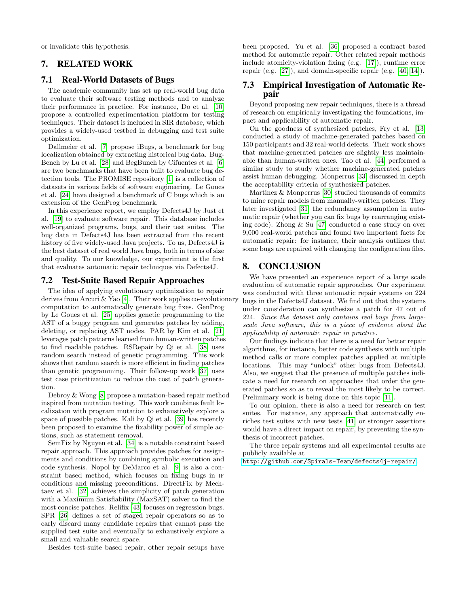or invalidate this hypothesis.

# <span id="page-9-0"></span>7. RELATED WORK

# 7.1 Real-World Datasets of Bugs

The academic community has set up real-world bug data to evaluate their software testing methods and to analyze their performance in practice. For instance, Do et al. [\[10\]](#page-10-16) propose a controlled experimentation platform for testing techniques. Their dataset is included in SIR database, which provides a widely-used testbed in debugging and test suite optimization.

Dallmeier et al. [\[7\]](#page-10-17) propose iBugs, a benchmark for bug localization obtained by extracting historical bug data. Bug-Bench by Lu et al. [\[28\]](#page-10-18) and BegBunch by Cifuentes et al. [\[6\]](#page-10-19) are two benchmarks that have been built to evaluate bug detection tools. The PROMISE repository [\[1\]](#page-10-20) is a collection of datasets in various fields of software engineering. Le Goues et al. [\[24\]](#page-10-21) have designed a benchmark of C bugs which is an extension of the GenProg benchmark.

In this experience report, we employ Defects4J by Just et al. [\[19\]](#page-10-2) to evaluate software repair. This database includes well-organized programs, bugs, and their test suites. The bug data in Defects4J has been extracted from the recent history of five widely-used Java projects. To us, Defects4J is the best dataset of real world Java bugs, both in terms of size and quality. To our knowledge, our experiment is the first that evaluates automatic repair techniques via Defects4J.

#### 7.2 Test-Suite Based Repair Approaches

The idea of applying evolutionary optimization to repair derives from Arcuri & Yao [\[4\]](#page-10-4). Their work applies co-evolutionary computation to automatically generate bug fixes. GenProg by Le Goues et al. [\[25\]](#page-10-0) applies genetic programming to the AST of a buggy program and generates patches by adding, deleting, or replacing AST nodes. PAR by Kim et al. [\[21\]](#page-10-11) leverages patch patterns learned from human-written patches to find readable patches. RSRepair by Qi et al. [\[38\]](#page-11-9) uses random search instead of genetic programming. This work shows that random search is more efficient in finding patches than genetic programming. Their follow-up work [\[37\]](#page-11-10) uses test case prioritization to reduce the cost of patch generation.

Debroy & Wong [\[8\]](#page-10-22) propose a mutation-based repair method inspired from mutation testing. This work combines fault localization with program mutation to exhaustively explore a space of possible patches. Kali by Qi et al. [\[39\]](#page-11-0) has recently been proposed to examine the fixability power of simple actions, such as statement removal.

SemFix by Nguyen et al. [\[34\]](#page-11-2) is a notable constraint based repair approach. This approach provides patches for assignments and conditions by combining symbolic execution and code synthesis. Nopol by DeMarco et al. [\[9\]](#page-10-3) is also a constraint based method, which focuses on fixing bugs in if conditions and missing preconditions. DirectFix by Mechtaev et al. [\[32\]](#page-11-11) achieves the simplicity of patch generation with a Maximum Satisfiability (MaxSAT) solver to find the most concise patches. Relifix [\[43\]](#page-11-12) focuses on regression bugs. SPR [\[26\]](#page-10-5) defines a set of staged repair operators so as to early discard many candidate repairs that cannot pass the supplied test suite and eventually to exhaustively explore a small and valuable search space.

Besides test-suite based repair, other repair setups have

been proposed. Yu et al. [\[36\]](#page-11-13) proposed a contract based method for automatic repair. Other related repair methods include atomicity-violation fixing (e.g. [\[17\]](#page-10-23)), runtime error repair (e.g. [\[27\]](#page-10-24)), and domain-specific repair (e.g. [\[40,](#page-11-14) [14\]](#page-10-25)).

## 7.3 Empirical Investigation of Automatic Repair

Beyond proposing new repair techniques, there is a thread of research on empirically investigating the foundations, impact and applicability of automatic repair.

On the goodness of synthesized patches, Fry et al. [\[13\]](#page-10-26) conducted a study of machine-generated patches based on 150 participants and 32 real-world defects. Their work shows that machine-generated patches are slightly less maintainable than human-written ones. Tao et al. [\[44\]](#page-11-7) performed a similar study to study whether machine-generated patches assist human debugging. Monperrus [\[33\]](#page-11-15) discussed in depth the acceptability criteria of synthesized patches.

Martinez & Monperrus [\[30\]](#page-11-16) studied thousands of commits to mine repair models from manually-written patches. They later investigated [\[31\]](#page-11-5) the redundancy assumption in automatic repair (whether you can fix bugs by rearranging existing code). Zhong & Su [\[47\]](#page-11-17) conducted a case study on over 9,000 real-world patches and found two important facts for automatic repair: for instance, their analysis outlines that some bugs are repaired with changing the configuration files.

# <span id="page-9-1"></span>8. CONCLUSION

We have presented an experience report of a large scale evaluation of automatic repair approaches. Our experiment was conducted with three automatic repair systems on 224 bugs in the Defects4J dataset. We find out that the systems under consideration can synthesize a patch for 47 out of 224. Since the dataset only contains real bugs from largescale Java software, this is a piece of evidence about the applicability of automatic repair in practice.

Our findings indicate that there is a need for better repair algorithms, for instance, better code synthesis with multiple method calls or more complex patches applied at multiple locations. This may "unlock" other bugs from Defects4J. Also, we suggest that the presence of multiple patches indicate a need for research on approaches that order the generated patches so as to reveal the most likely to be correct. Preliminary work is being done on this topic [\[11\]](#page-10-27).

To our opinion, there is also a need for research on test suites. For instance, any approach that automatically enriches test suites with new tests [\[41\]](#page-11-18) or stronger assertions would have a direct impact on repair, by preventing the synthesis of incorrect patches.

The three repair systems and all experimental results are publicly available at

<http://github.com/Spirals-Team/defects4j-repair/>.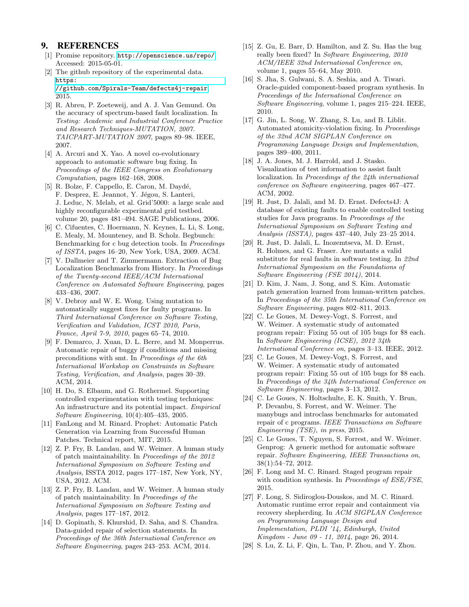# 9. REFERENCES

- <span id="page-10-20"></span>[1] Promise repository. <http://openscience.us/repo/>. Accessed: 2015-05-01.
- <span id="page-10-12"></span>[2] The github repository of the experimental data. [https:](https://github.com/Spirals-Team/defects4j-repair) [//github.com/Spirals-Team/defects4j-repair](https://github.com/Spirals-Team/defects4j-repair), 2015.
- <span id="page-10-8"></span>[3] R. Abreu, P. Zoeteweij, and A. J. Van Gemund. On the accuracy of spectrum-based fault localization. In Testing: Academic and Industrial Conference Practice and Research Techniques-MUTATION, 2007. TAICPART-MUTATION 2007, pages 89–98. IEEE, 2007.
- <span id="page-10-4"></span>[4] A. Arcuri and X. Yao. A novel co-evolutionary approach to automatic software bug fixing. In Proceedings of the IEEE Congress on Evolutionary Computation, pages 162–168, 2008.
- <span id="page-10-6"></span>[5] R. Bolze, F. Cappello, E. Caron, M. Daydé, F. Desprez, E. Jeannot, Y. Jégou, S. Lanteri, J. Leduc, N. Melab, et al. Grid'5000: a large scale and highly reconfigurable experimental grid testbed. volume 20, pages 481–494. SAGE Publications, 2006.
- <span id="page-10-19"></span>[6] C. Cifuentes, C. Hoermann, N. Keynes, L. Li, S. Long, E. Mealy, M. Mounteney, and B. Scholz. Begbunch: Benchmarking for c bug detection tools. In Proceedings of ISSTA, pages 16–20, New York, USA, 2009. ACM.
- <span id="page-10-17"></span>[7] V. Dallmeier and T. Zimmermann. Extraction of Bug Localization Benchmarks from History. In Proceedings of the Twenty-second IEEE/ACM International Conference on Automated Software Engineering, pages 433–436, 2007.
- <span id="page-10-22"></span>[8] V. Debroy and W. E. Wong. Using mutation to automatically suggest fixes for faulty programs. In Third International Conference on Software Testing, Verification and Validation, ICST 2010, Paris, France, April 7-9, 2010, pages 65–74, 2010.
- <span id="page-10-3"></span>[9] F. Demarco, J. Xuan, D. L. Berre, and M. Monperrus. Automatic repair of buggy if conditions and missing preconditions with smt. In Proceedings of the 6th International Workshop on Constraints in Software Testing, Verification, and Analysis, pages 30–39. ACM, 2014.
- <span id="page-10-16"></span>[10] H. Do, S. Elbaum, and G. Rothermel. Supporting controlled experimentation with testing techniques: An infrastructure and its potential impact. Empirical Software Engineering, 10(4):405–435, 2005.
- <span id="page-10-27"></span>[11] FanLong and M. Rinard. Prophet: Automatic Patch Generation via Learning from Successful Human Patches. Technical report, MIT, 2015.
- <span id="page-10-13"></span>[12] Z. P. Fry, B. Landau, and W. Weimer. A human study of patch maintainability. In Proceedings of the 2012 International Symposium on Software Testing and Analysis, ISSTA 2012, pages 177–187, New York, NY, USA, 2012. ACM.
- <span id="page-10-26"></span>[13] Z. P. Fry, B. Landau, and W. Weimer. A human study of patch maintainability. In Proceedings of the International Symposium on Software Testing and Analysis, pages 177–187, 2012.
- <span id="page-10-25"></span>[14] D. Gopinath, S. Khurshid, D. Saha, and S. Chandra. Data-guided repair of selection statements. In Proceedings of the 36th International Conference on Software Engineering, pages 243–253. ACM, 2014.
- <span id="page-10-14"></span>[15] Z. Gu, E. Barr, D. Hamilton, and Z. Su. Has the bug really been fixed? In Software Engineering, 2010 ACM/IEEE 32nd International Conference on, volume 1, pages 55–64, May 2010.
- <span id="page-10-10"></span>[16] S. Jha, S. Gulwani, S. A. Seshia, and A. Tiwari. Oracle-guided component-based program synthesis. In Proceedings of the International Conference on Software Engineering, volume 1, pages 215–224. IEEE, 2010.
- <span id="page-10-23"></span>[17] G. Jin, L. Song, W. Zhang, S. Lu, and B. Liblit. Automated atomicity-violation fixing. In Proceedings of the 32nd ACM SIGPLAN Conference on Programming Language Design and Implementation, pages 389–400, 2011.
- <span id="page-10-7"></span>[18] J. A. Jones, M. J. Harrold, and J. Stasko. Visualization of test information to assist fault localization. In Proceedings of the 24th international conference on Software engineering, pages 467–477. ACM, 2002.
- <span id="page-10-2"></span>[19] R. Just, D. Jalali, and M. D. Ernst. Defects4J: A database of existing faults to enable controlled testing studies for Java programs. In Proceedings of the International Symposium on Software Testing and Analysis (ISSTA), pages 437–440, July 23–25 2014.
- <span id="page-10-9"></span>[20] R. Just, D. Jalali, L. Inozemtseva, M. D. Ernst, R. Holmes, and G. Fraser. Are mutants a valid substitute for real faults in software testing. In 22nd International Symposium on the Foundations of Software Engineering (FSE 2014), 2014.
- <span id="page-10-11"></span>[21] D. Kim, J. Nam, J. Song, and S. Kim. Automatic patch generation learned from human-written patches. In Proceedings of the 35th International Conference on Software Engineering, pages 802–811, 2013.
- <span id="page-10-1"></span>[22] C. Le Goues, M. Dewey-Vogt, S. Forrest, and W. Weimer. A systematic study of automated program repair: Fixing 55 out of 105 bugs for \$8 each. In Software Engineering (ICSE), 2012 34th International Conference on, pages 3–13. IEEE, 2012.
- <span id="page-10-15"></span>[23] C. Le Goues, M. Dewey-Vogt, S. Forrest, and W. Weimer. A systematic study of automated program repair: Fixing 55 out of 105 bugs for \$8 each. In Proceedings of the 34th International Conference on Software Engineering, pages 3–13, 2012.
- <span id="page-10-21"></span>[24] C. Le Goues, N. Holtschulte, E. K. Smith, Y. Brun, P. Devanbu, S. Forrest, and W. Weimer. The manybugs and introclass benchmarks for automated repair of c programs. IEEE Transactions on Software Engineering (TSE), in press, 2015.
- <span id="page-10-0"></span>[25] C. Le Goues, T. Nguyen, S. Forrest, and W. Weimer. Genprog: A generic method for automatic software repair. Software Engineering, IEEE Transactions on, 38(1):54–72, 2012.
- <span id="page-10-5"></span>[26] F. Long and M. C. Rinard. Staged program repair with condition synthesis. In Proceedings of ESE/FSE, 2015.
- <span id="page-10-24"></span>[27] F. Long, S. Sidiroglou-Douskos, and M. C. Rinard. Automatic runtime error repair and containment via recovery shepherding. In ACM SIGPLAN Conference on Programming Language Design and Implementation, PLDI '14, Edinburgh, United Kingdom - June 09 - 11, 2014, page 26, 2014.
- <span id="page-10-18"></span>[28] S. Lu, Z. Li, F. Qin, L. Tan, P. Zhou, and Y. Zhou.